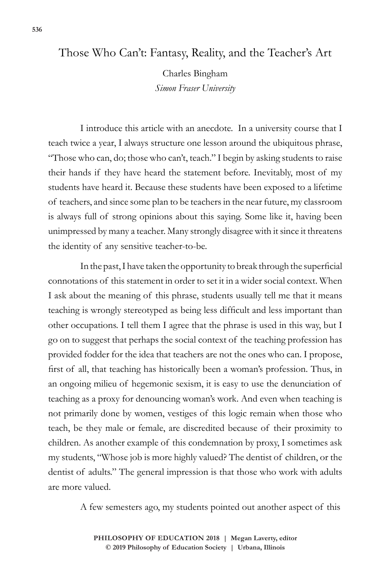## Those Who Can't: Fantasy, Reality, and the Teacher's Art

Charles Bingham *Simon Fraser University*

I introduce this article with an anecdote. In a university course that I teach twice a year, I always structure one lesson around the ubiquitous phrase, "Those who can, do; those who can't, teach." I begin by asking students to raise their hands if they have heard the statement before. Inevitably, most of my students have heard it. Because these students have been exposed to a lifetime of teachers, and since some plan to be teachers in the near future, my classroom is always full of strong opinions about this saying. Some like it, having been unimpressed by many a teacher. Many strongly disagree with it since it threatens the identity of any sensitive teacher-to-be.

In the past, I have taken the opportunity to break through the superficial connotations of this statement in order to set it in a wider social context. When I ask about the meaning of this phrase, students usually tell me that it means teaching is wrongly stereotyped as being less difficult and less important than other occupations. I tell them I agree that the phrase is used in this way, but I go on to suggest that perhaps the social context of the teaching profession has provided fodder for the idea that teachers are not the ones who can. I propose, first of all, that teaching has historically been a woman's profession. Thus, in an ongoing milieu of hegemonic sexism, it is easy to use the denunciation of teaching as a proxy for denouncing woman's work. And even when teaching is not primarily done by women, vestiges of this logic remain when those who teach, be they male or female, are discredited because of their proximity to children. As another example of this condemnation by proxy, I sometimes ask my students, "Whose job is more highly valued? The dentist of children, or the dentist of adults." The general impression is that those who work with adults are more valued.

A few semesters ago, my students pointed out another aspect of this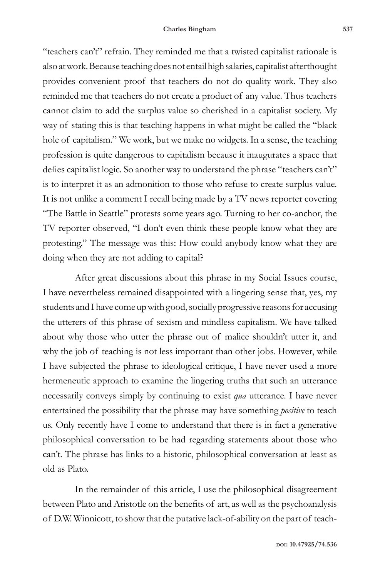"teachers can't" refrain. They reminded me that a twisted capitalist rationale is also at work. Because teaching does not entail high salaries, capitalist afterthought provides convenient proof that teachers do not do quality work. They also reminded me that teachers do not create a product of any value. Thus teachers cannot claim to add the surplus value so cherished in a capitalist society. My way of stating this is that teaching happens in what might be called the "black hole of capitalism." We work, but we make no widgets. In a sense, the teaching profession is quite dangerous to capitalism because it inaugurates a space that defies capitalist logic. So another way to understand the phrase "teachers can't" is to interpret it as an admonition to those who refuse to create surplus value. It is not unlike a comment I recall being made by a TV news reporter covering "The Battle in Seattle" protests some years ago. Turning to her co-anchor, the TV reporter observed, "I don't even think these people know what they are protesting." The message was this: How could anybody know what they are doing when they are not adding to capital?

After great discussions about this phrase in my Social Issues course, I have nevertheless remained disappointed with a lingering sense that, yes, my students and I have come up with good, socially progressive reasons for accusing the utterers of this phrase of sexism and mindless capitalism. We have talked about why those who utter the phrase out of malice shouldn't utter it, and why the job of teaching is not less important than other jobs. However, while I have subjected the phrase to ideological critique, I have never used a more hermeneutic approach to examine the lingering truths that such an utterance necessarily conveys simply by continuing to exist *qua* utterance. I have never entertained the possibility that the phrase may have something *positive* to teach us. Only recently have I come to understand that there is in fact a generative philosophical conversation to be had regarding statements about those who can't. The phrase has links to a historic, philosophical conversation at least as old as Plato.

In the remainder of this article, I use the philosophical disagreement between Plato and Aristotle on the benefits of art, as well as the psychoanalysis of D.W. Winnicott, to show that the putative lack-of-ability on the part of teach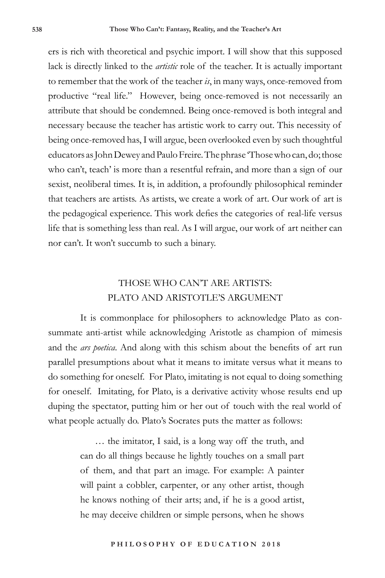ers is rich with theoretical and psychic import. I will show that this supposed lack is directly linked to the *artistic* role of the teacher. It is actually important to remember that the work of the teacher *is*, in many ways, once-removed from productive "real life." However, being once-removed is not necessarily an attribute that should be condemned. Being once-removed is both integral and necessary because the teacher has artistic work to carry out. This necessity of being once-removed has, I will argue, been overlooked even by such thoughtful educators as John Dewey and Paulo Freire. The phrase 'Those who can, do; those who can't, teach' is more than a resentful refrain, and more than a sign of our sexist, neoliberal times. It is, in addition, a profoundly philosophical reminder that teachers are artists. As artists, we create a work of art. Our work of art is the pedagogical experience. This work defies the categories of real-life versus life that is something less than real. As I will argue, our work of art neither can nor can't. It won't succumb to such a binary.

## THOSE WHO CAN'T ARE ARTISTS: PLATO AND ARISTOTLE'S ARGUMENT

It is commonplace for philosophers to acknowledge Plato as consummate anti-artist while acknowledging Aristotle as champion of mimesis and the *ars poetica*. And along with this schism about the benefits of art run parallel presumptions about what it means to imitate versus what it means to do something for oneself. For Plato, imitating is not equal to doing something for oneself. Imitating, for Plato, is a derivative activity whose results end up duping the spectator, putting him or her out of touch with the real world of what people actually do. Plato's Socrates puts the matter as follows:

> … the imitator, I said, is a long way off the truth, and can do all things because he lightly touches on a small part of them, and that part an image. For example: A painter will paint a cobbler, carpenter, or any other artist, though he knows nothing of their arts; and, if he is a good artist, he may deceive children or simple persons, when he shows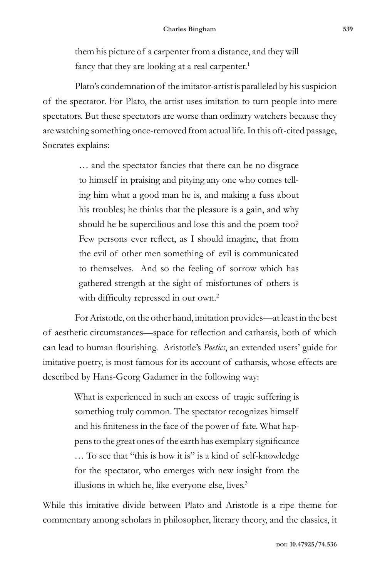them his picture of a carpenter from a distance, and they will fancy that they are looking at a real carpenter.<sup>1</sup>

Plato's condemnation of the imitator-artist is paralleled by his suspicion of the spectator. For Plato, the artist uses imitation to turn people into mere spectators. But these spectators are worse than ordinary watchers because they are watching something once-removed from actual life. In this oft-cited passage, Socrates explains:

> … and the spectator fancies that there can be no disgrace to himself in praising and pitying any one who comes telling him what a good man he is, and making a fuss about his troubles; he thinks that the pleasure is a gain, and why should he be supercilious and lose this and the poem too? Few persons ever reflect, as I should imagine, that from the evil of other men something of evil is communicated to themselves. And so the feeling of sorrow which has gathered strength at the sight of misfortunes of others is with difficulty repressed in our own.<sup>2</sup>

For Aristotle, on the other hand, imitation provides—at least in the best of aesthetic circumstances—space for reflection and catharsis, both of which can lead to human flourishing. Aristotle's *Poetics*, an extended users' guide for imitative poetry, is most famous for its account of catharsis, whose effects are described by Hans-Georg Gadamer in the following way:

> What is experienced in such an excess of tragic suffering is something truly common. The spectator recognizes himself and his finiteness in the face of the power of fate. What happens to the great ones of the earth has exemplary significance … To see that "this is how it is" is a kind of self-knowledge for the spectator, who emerges with new insight from the illusions in which he, like everyone else, lives.<sup>3</sup>

While this imitative divide between Plato and Aristotle is a ripe theme for commentary among scholars in philosopher, literary theory, and the classics, it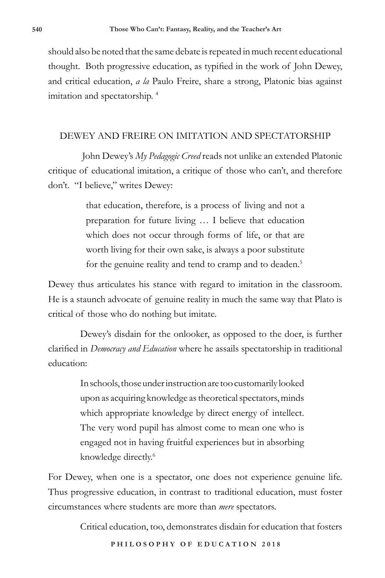should also be noted that the same debate is repeated in much recent educational thought. Both progressive education, as typified in the work of John Dewey, and critical education, *a la* Paulo Freire, share a strong, Platonic bias against imitation and spectatorship. 4

### DEWEY AND FREIRE ON IMITATION AND SPECTATORSHIP

 John Dewey's *My Pedagogic Creed* reads not unlike an extended Platonic critique of educational imitation, a critique of those who can't, and therefore don't. "I believe," writes Dewey:

> that education, therefore, is a process of living and not a preparation for future living … I believe that education which does not occur through forms of life, or that are worth living for their own sake, is always a poor substitute for the genuine reality and tend to cramp and to deaden.<sup>5</sup>

Dewey thus articulates his stance with regard to imitation in the classroom. He is a staunch advocate of genuine reality in much the same way that Plato is critical of those who do nothing but imitate.

Dewey's disdain for the onlooker, as opposed to the doer, is further clarified in *Democracy and Education* where he assails spectatorship in traditional education:

> In schools, those under instruction are too customarily looked upon as acquiring knowledge as theoretical spectators, minds which appropriate knowledge by direct energy of intellect. The very word pupil has almost come to mean one who is engaged not in having fruitful experiences but in absorbing knowledge directly.<sup>6</sup>

For Dewey, when one is a spectator, one does not experience genuine life. Thus progressive education, in contrast to traditional education, must foster circumstances where students are more than *mere* spectators.

Critical education, too, demonstrates disdain for education that fosters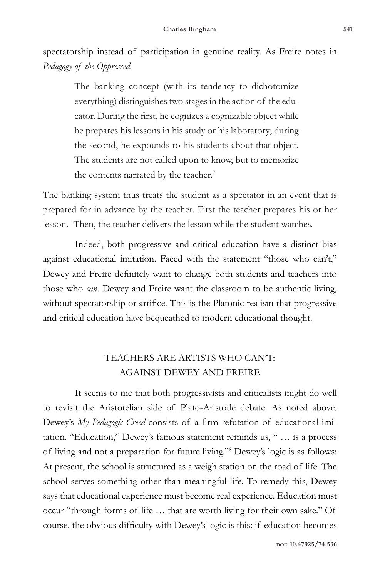spectatorship instead of participation in genuine reality. As Freire notes in *Pedagogy of the Oppressed*:

> The banking concept (with its tendency to dichotomize everything) distinguishes two stages in the action of the educator. During the first, he cognizes a cognizable object while he prepares his lessons in his study or his laboratory; during the second, he expounds to his students about that object. The students are not called upon to know, but to memorize the contents narrated by the teacher.<sup>7</sup>

The banking system thus treats the student as a spectator in an event that is prepared for in advance by the teacher. First the teacher prepares his or her lesson. Then, the teacher delivers the lesson while the student watches.

Indeed, both progressive and critical education have a distinct bias against educational imitation. Faced with the statement "those who can't," Dewey and Freire definitely want to change both students and teachers into those who *can*. Dewey and Freire want the classroom to be authentic living, without spectatorship or artifice. This is the Platonic realism that progressive and critical education have bequeathed to modern educational thought.

# TEACHERS ARE ARTISTS WHO CAN'T: AGAINST DEWEY AND FREIRE

It seems to me that both progressivists and criticalists might do well to revisit the Aristotelian side of Plato-Aristotle debate. As noted above, Dewey's *My Pedagogic Creed* consists of a firm refutation of educational imitation. "Education," Dewey's famous statement reminds us, " … is a process of living and not a preparation for future living."8 Dewey's logic is as follows: At present, the school is structured as a weigh station on the road of life. The school serves something other than meaningful life. To remedy this, Dewey says that educational experience must become real experience. Education must occur "through forms of life … that are worth living for their own sake." Of course, the obvious difficulty with Dewey's logic is this: if education becomes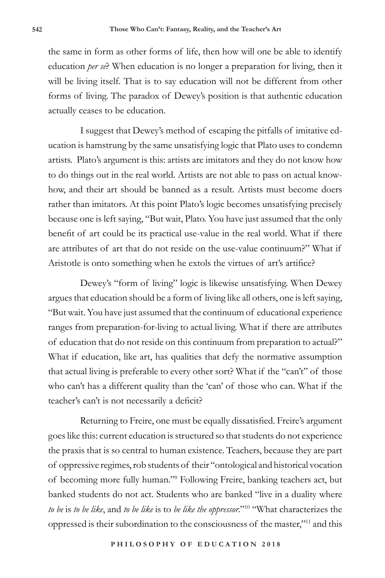the same in form as other forms of life, then how will one be able to identify education *per se*? When education is no longer a preparation for living, then it will be living itself. That is to say education will not be different from other forms of living. The paradox of Dewey's position is that authentic education actually ceases to be education.

I suggest that Dewey's method of escaping the pitfalls of imitative education is hamstrung by the same unsatisfying logic that Plato uses to condemn artists. Plato's argument is this: artists are imitators and they do not know how to do things out in the real world. Artists are not able to pass on actual knowhow, and their art should be banned as a result. Artists must become doers rather than imitators. At this point Plato's logic becomes unsatisfying precisely because one is left saying, "But wait, Plato. You have just assumed that the only benefit of art could be its practical use-value in the real world. What if there are attributes of art that do not reside on the use-value continuum?" What if Aristotle is onto something when he extols the virtues of art's artifice?

Dewey's "form of living" logic is likewise unsatisfying. When Dewey argues that education should be a form of living like all others, one is left saying, "But wait. You have just assumed that the continuum of educational experience ranges from preparation-for-living to actual living. What if there are attributes of education that do not reside on this continuum from preparation to actual?" What if education, like art, has qualities that defy the normative assumption that actual living is preferable to every other sort? What if the "can't" of those who can't has a different quality than the 'can' of those who can. What if the teacher's can't is not necessarily a deficit?

Returning to Freire, one must be equally dissatisfied. Freire's argument goes like this: current education is structured so that students do not experience the praxis that is so central to human existence. Teachers, because they are part of oppressive regimes, rob students of their "ontological and historical vocation of becoming more fully human."9 Following Freire, banking teachers act, but banked students do not act. Students who are banked "live in a duality where *to be* is *to be like*, and *to be like* is to *be like the oppressor*."10 "What characterizes the oppressed is their subordination to the consciousness of the master,"11 and this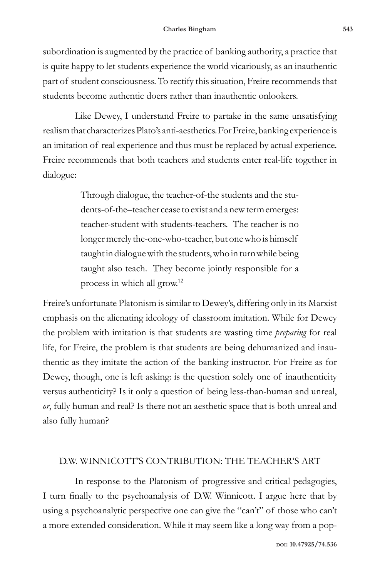subordination is augmented by the practice of banking authority, a practice that is quite happy to let students experience the world vicariously, as an inauthentic part of student consciousness. To rectify this situation, Freire recommends that students become authentic doers rather than inauthentic onlookers.

Like Dewey, I understand Freire to partake in the same unsatisfying realism that characterizes Plato's anti-aesthetics. For Freire, banking experience is an imitation of real experience and thus must be replaced by actual experience. Freire recommends that both teachers and students enter real-life together in dialogue:

> Through dialogue, the teacher-of-the students and the students-of-the–teacher cease to exist and a new term emerges: teacher-student with students-teachers. The teacher is no longer merely the-one-who-teacher, but one who is himself taught in dialogue with the students, who in turn while being taught also teach. They become jointly responsible for a process in which all grow.12

Freire's unfortunate Platonism is similar to Dewey's, differing only in its Marxist emphasis on the alienating ideology of classroom imitation. While for Dewey the problem with imitation is that students are wasting time *preparing* for real life, for Freire, the problem is that students are being dehumanized and inauthentic as they imitate the action of the banking instructor. For Freire as for Dewey, though, one is left asking: is the question solely one of inauthenticity versus authenticity? Is it only a question of being less-than-human and unreal, *or*, fully human and real? Is there not an aesthetic space that is both unreal and also fully human?

#### D.W. WINNICOTT'S CONTRIBUTION: THE TEACHER'S ART

In response to the Platonism of progressive and critical pedagogies, I turn finally to the psychoanalysis of D.W. Winnicott. I argue here that by using a psychoanalytic perspective one can give the "can't" of those who can't a more extended consideration. While it may seem like a long way from a pop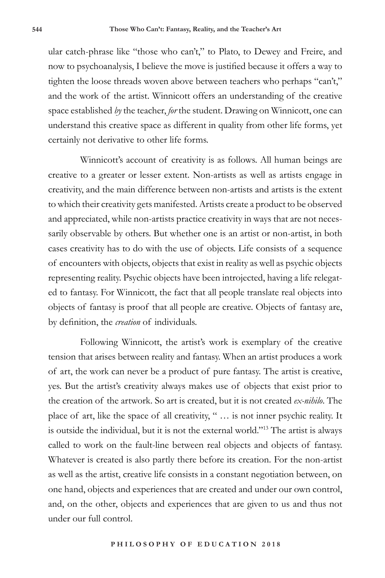ular catch-phrase like "those who can't," to Plato, to Dewey and Freire, and now to psychoanalysis, I believe the move is justified because it offers a way to tighten the loose threads woven above between teachers who perhaps "can't," and the work of the artist. Winnicott offers an understanding of the creative space established *by* the teacher, *for* the student. Drawing on Winnicott, one can understand this creative space as different in quality from other life forms, yet certainly not derivative to other life forms.

Winnicott's account of creativity is as follows. All human beings are creative to a greater or lesser extent. Non-artists as well as artists engage in creativity, and the main difference between non-artists and artists is the extent to which their creativity gets manifested. Artists create a product to be observed and appreciated, while non-artists practice creativity in ways that are not necessarily observable by others. But whether one is an artist or non-artist, in both cases creativity has to do with the use of objects. Life consists of a sequence of encounters with objects, objects that exist in reality as well as psychic objects representing reality. Psychic objects have been introjected, having a life relegated to fantasy. For Winnicott, the fact that all people translate real objects into objects of fantasy is proof that all people are creative. Objects of fantasy are, by definition, the *creation* of individuals.

Following Winnicott, the artist's work is exemplary of the creative tension that arises between reality and fantasy. When an artist produces a work of art, the work can never be a product of pure fantasy. The artist is creative, yes. But the artist's creativity always makes use of objects that exist prior to the creation of the artwork. So art is created, but it is not created *ex-nihilo*. The place of art, like the space of all creativity, " … is not inner psychic reality. It is outside the individual, but it is not the external world."13 The artist is always called to work on the fault-line between real objects and objects of fantasy. Whatever is created is also partly there before its creation. For the non-artist as well as the artist, creative life consists in a constant negotiation between, on one hand, objects and experiences that are created and under our own control, and, on the other, objects and experiences that are given to us and thus not under our full control.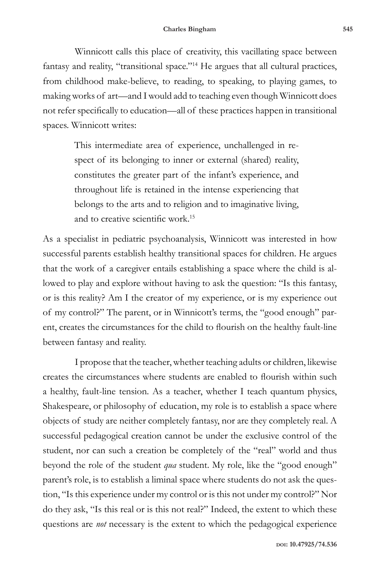Winnicott calls this place of creativity, this vacillating space between fantasy and reality, "transitional space."14 He argues that all cultural practices, from childhood make-believe, to reading, to speaking, to playing games, to making works of art—and I would add to teaching even though Winnicott does not refer specifically to education—all of these practices happen in transitional spaces. Winnicott writes:

> This intermediate area of experience, unchallenged in respect of its belonging to inner or external (shared) reality, constitutes the greater part of the infant's experience, and throughout life is retained in the intense experiencing that belongs to the arts and to religion and to imaginative living, and to creative scientific work.<sup>15</sup>

As a specialist in pediatric psychoanalysis, Winnicott was interested in how successful parents establish healthy transitional spaces for children. He argues that the work of a caregiver entails establishing a space where the child is allowed to play and explore without having to ask the question: "Is this fantasy, or is this reality? Am I the creator of my experience, or is my experience out of my control?" The parent, or in Winnicott's terms, the "good enough" parent, creates the circumstances for the child to flourish on the healthy fault-line between fantasy and reality.

I propose that the teacher, whether teaching adults or children, likewise creates the circumstances where students are enabled to flourish within such a healthy, fault-line tension. As a teacher, whether I teach quantum physics, Shakespeare, or philosophy of education, my role is to establish a space where objects of study are neither completely fantasy, nor are they completely real. A successful pedagogical creation cannot be under the exclusive control of the student, nor can such a creation be completely of the "real" world and thus beyond the role of the student *qua* student. My role, like the "good enough" parent's role, is to establish a liminal space where students do not ask the question, "Is this experience under my control or is this not under my control?" Nor do they ask, "Is this real or is this not real?" Indeed, the extent to which these questions are *not* necessary is the extent to which the pedagogical experience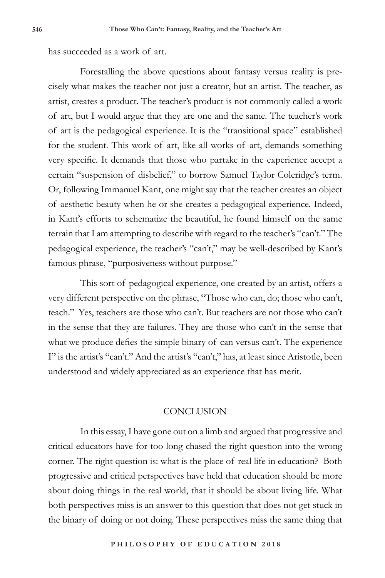has succeeded as a work of art.

Forestalling the above questions about fantasy versus reality is precisely what makes the teacher not just a creator, but an artist. The teacher, as artist, creates a product. The teacher's product is not commonly called a work of art, but I would argue that they are one and the same. The teacher's work of art is the pedagogical experience. It is the "transitional space" established for the student. This work of art, like all works of art, demands something very specific. It demands that those who partake in the experience accept a certain "suspension of disbelief," to borrow Samuel Taylor Coleridge's term. Or, following Immanuel Kant, one might say that the teacher creates an object of aesthetic beauty when he or she creates a pedagogical experience. Indeed, in Kant's efforts to schematize the beautiful, he found himself on the same terrain that I am attempting to describe with regard to the teacher's "can't." The pedagogical experience, the teacher's "can't," may be well-described by Kant's famous phrase, "purposiveness without purpose."

This sort of pedagogical experience, one created by an artist, offers a very different perspective on the phrase, "Those who can, do; those who can't, teach." Yes, teachers are those who can't. But teachers are not those who can't in the sense that they are failures. They are those who can't in the sense that what we produce defies the simple binary of can versus can't. The experience I" is the artist's "can't." And the artist's "can't," has, at least since Aristotle, been understood and widely appreciated as an experience that has merit.

### **CONCLUSION**

In this essay, I have gone out on a limb and argued that progressive and critical educators have for too long chased the right question into the wrong corner. The right question is: what is the place of real life in education? Both progressive and critical perspectives have held that education should be more about doing things in the real world, that it should be about living life. What both perspectives miss is an answer to this question that does not get stuck in the binary of doing or not doing. These perspectives miss the same thing that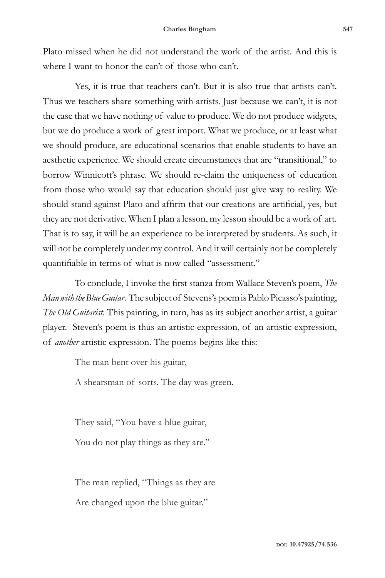Plato missed when he did not understand the work of the artist. And this is where I want to honor the can't of those who can't.

Yes, it is true that teachers can't. But it is also true that artists can't. Thus we teachers share something with artists. Just because we can't, it is not the case that we have nothing of value to produce. We do not produce widgets, but we do produce a work of great import. What we produce, or at least what we should produce, are educational scenarios that enable students to have an aesthetic experience. We should create circumstances that are "transitional," to borrow Winnicott's phrase. We should re-claim the uniqueness of education from those who would say that education should just give way to reality. We should stand against Plato and affirm that our creations are artificial, yes, but they are not derivative. When I plan a lesson, my lesson should be a work of art. That is to say, it will be an experience to be interpreted by students. As such, it will not be completely under my control. And it will certainly not be completely quantifiable in terms of what is now called "assessment."

To conclude, I invoke the first stanza from Wallace Steven's poem, *The Man with the Blue Guitar*. The subject of Stevens's poem is Pablo Picasso's painting, *The Old Guitarist*. This painting, in turn, has as its subject another artist, a guitar player. Steven's poem is thus an artistic expression, of an artistic expression, of *another* artistic expression. The poems begins like this:

The man bent over his guitar,

A shearsman of sorts. The day was green.

They said, "You have a blue guitar, You do not play things as they are."

The man replied, "Things as they are Are changed upon the blue guitar."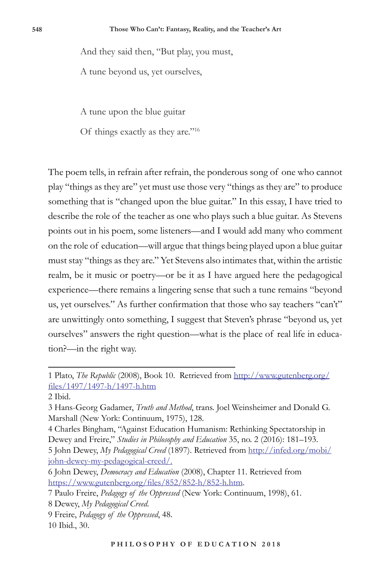And they said then, "But play, you must,

A tune beyond us, yet ourselves,

A tune upon the blue guitar

Of things exactly as they are."16

The poem tells, in refrain after refrain, the ponderous song of one who cannot play "things as they are" yet must use those very "things as they are" to produce something that is "changed upon the blue guitar." In this essay, I have tried to describe the role of the teacher as one who plays such a blue guitar. As Stevens points out in his poem, some listeners—and I would add many who comment on the role of education—will argue that things being played upon a blue guitar must stay "things as they are." Yet Stevens also intimates that, within the artistic realm, be it music or poetry—or be it as I have argued here the pedagogical experience—there remains a lingering sense that such a tune remains "beyond us, yet ourselves." As further confirmation that those who say teachers "can't" are unwittingly onto something, I suggest that Steven's phrase "beyond us, yet ourselves" answers the right question—what is the place of real life in education?—in the right way.

john-dewey-my-pedagogical-creed/.

<sup>1</sup> Plato, *The Republic* (2008), Book 10.Retrieved from http://www.gutenberg.org/ files/1497/1497-h/1497-h.htm

<sup>2</sup> Ibid.

<sup>3</sup> Hans-Georg Gadamer, *Truth and Method*, trans. Joel Weinsheimer and Donald G. Marshall (New York: Continuum, 1975), 128.

<sup>4</sup> Charles Bingham, "Against Education Humanism: Rethinking Spectatorship in Dewey and Freire," *Studies in Philosophy and Education* 35, no. 2 (2016): 181–193. 5 John Dewey, *My Pedagogical Creed* (1897). Retrieved from http://infed.org/mobi/

<sup>6</sup> John Dewey, *Democracy and Education* (2008), Chapter 11. Retrieved from https://www.gutenberg.org/files/852/852-h/852-h.htm.

<sup>7</sup> Paulo Freire, *Pedagogy of the Oppressed* (New York: Continuum, 1998), 61.

<sup>8</sup> Dewey, *My Pedagogical Creed*.

<sup>9</sup> Freire, *Pedagogy of the Oppressed*, 48.

<sup>10</sup> Ibid., 30.